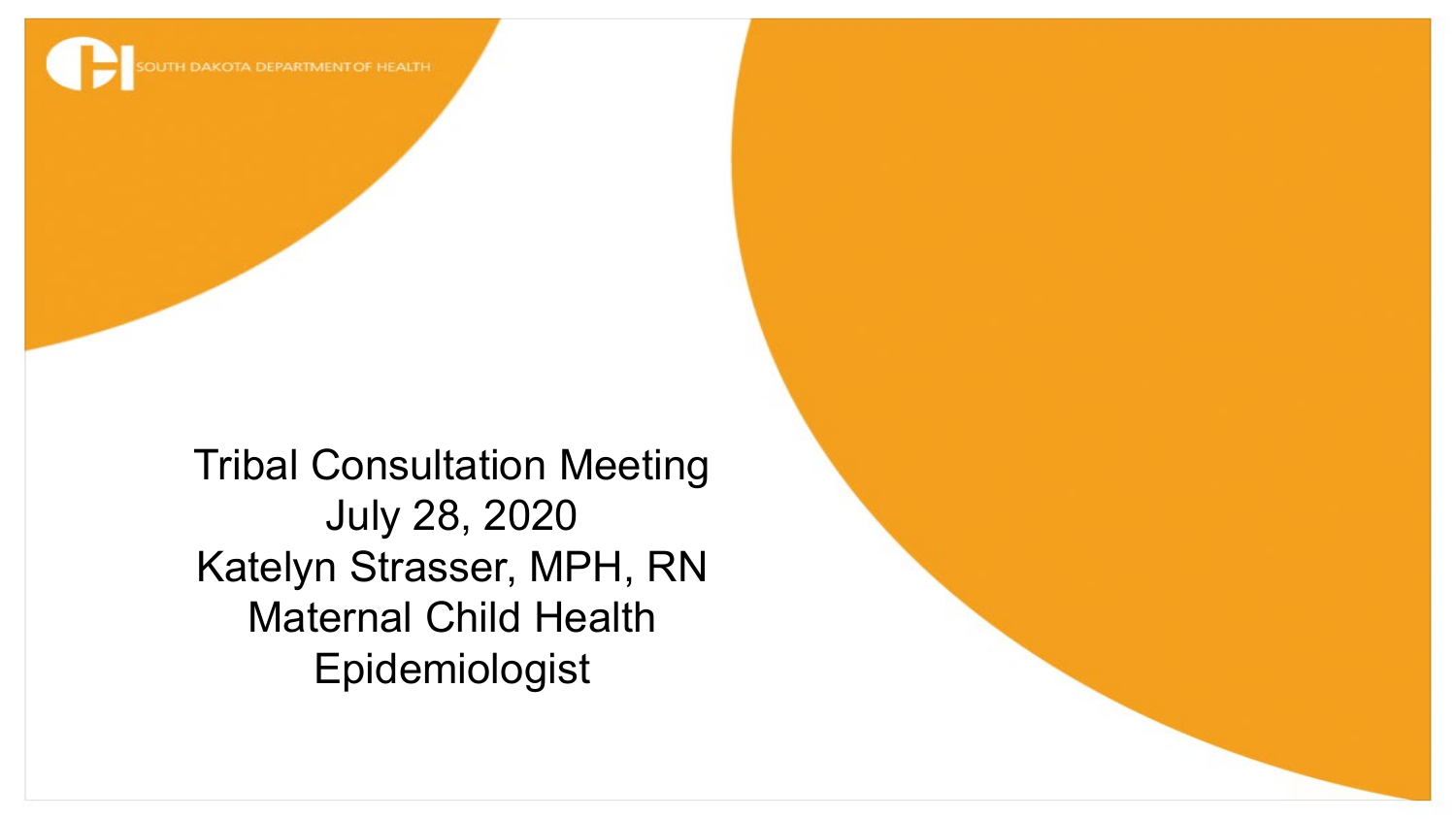

Tribal Consultation Meeting July 28, 2020 Katelyn Strasser, MPH, RN Maternal Child Health Epidemiologist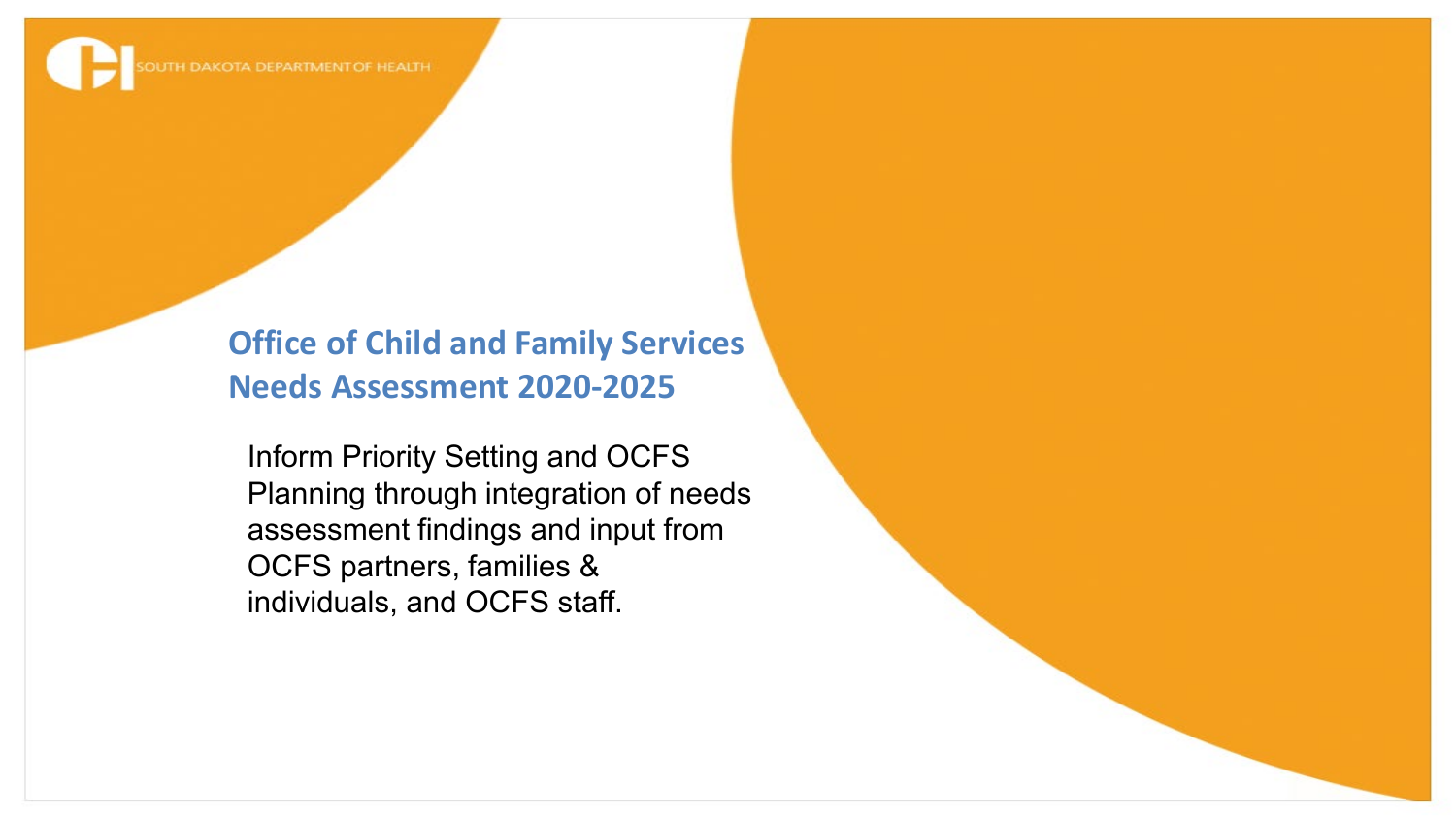#### **Office of Child and Family Services Needs Assessment 2020-2025**

Inform Priority Setting and OCFS Planning through integration of needs assessment findings and input from OCFS partners, families & individuals, and OCFS staff.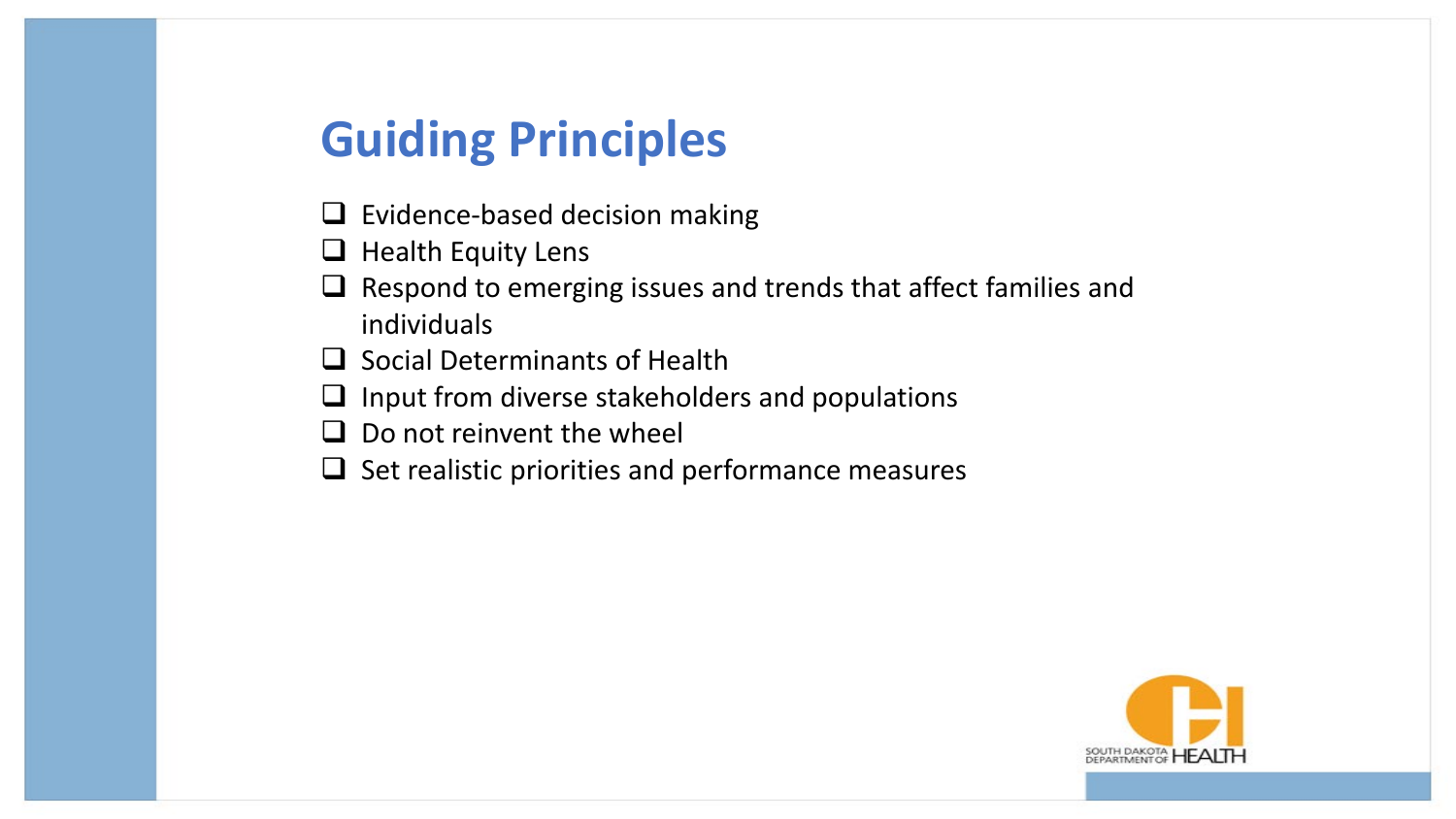### **Guiding Principles**

- $\Box$  Evidence-based decision making
- $\Box$  Health Equity Lens
- $\Box$  Respond to emerging issues and trends that affect families and individuals
- $\Box$  Social Determinants of Health
- $\Box$  Input from diverse stakeholders and populations
- $\Box$  Do not reinvent the wheel
- $\Box$  Set realistic priorities and performance measures

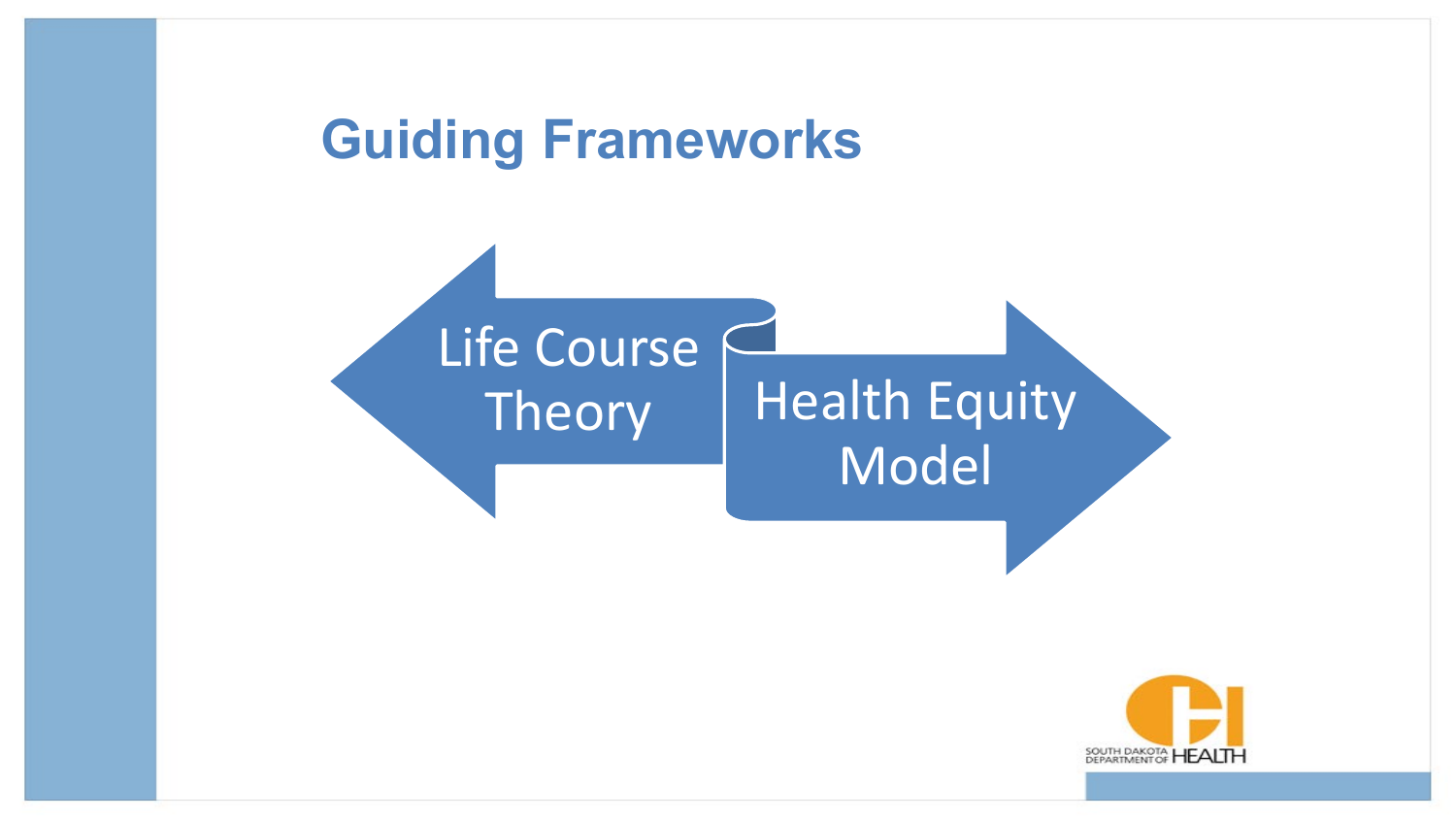## **Guiding Frameworks**



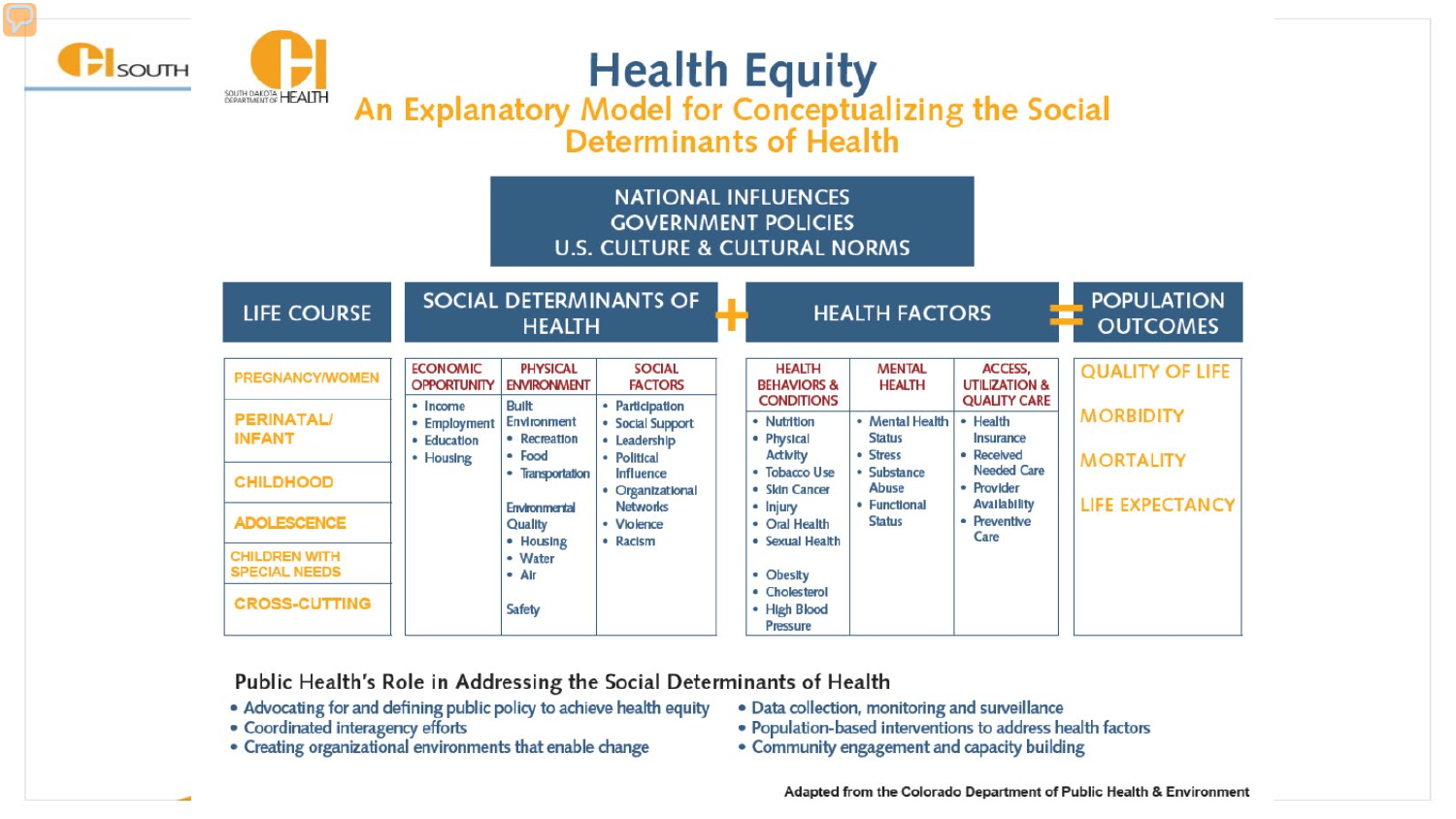



**Headline** 

# Health Equity<br>An Explanatory Model for Conceptualizing the Social

Determinants of Health

#### **NATIONAL INFLUENCES GOVERNMENT POLICIES U.S. CULTURE & CULTURAL NORMS**

| <b>LIFE COURSE</b>                           |                                                   | <b>HEALTH</b>                                  | <b>SOCIAL DETERMINANTS OF</b>                      |                                                              | <b>HEALTH FACTORS</b>                        |                                                            | <b>POPULATION</b><br><b>OUTCOMES</b> |
|----------------------------------------------|---------------------------------------------------|------------------------------------------------|----------------------------------------------------|--------------------------------------------------------------|----------------------------------------------|------------------------------------------------------------|--------------------------------------|
| <b>PREGNANCY/WOMEN</b>                       | <b>ECONOMIC</b><br><b>OPPORTUNITY</b><br>• Income | <b>PHYSICAL</b><br><b>ENVIRONMENT</b><br>Built | <b>SOCIAL</b><br><b>FACTORS</b><br>• Participation | <b>HEALTH</b><br><b>BEHAVIORS &amp;</b><br><b>CONDITIONS</b> | <b>MENTAL</b><br><b>HEALTH</b>               | ACCESS,<br><b>UTILIZATION &amp;</b><br><b>QUALITY CARE</b> | <b>QUALITY OF LIFE</b>               |
| <b>PERINATAL/</b><br><b>INFANT</b>           | • Employment<br>· Education<br>• Housing          | Environment<br>• Recreation<br>$-$ Food        | • Social Support<br>• Leadership<br>· Political    | • Nutrition<br>• Physical<br><b>Activity</b>                 | • Mental Health<br><b>Status</b><br>• Stress | • Health<br>Insurance<br>• Received                        | <b>MORBIDITY</b><br><b>MORTALITY</b> |
| <b>CHILDHOOD</b>                             |                                                   | • Transportation<br><b>Environmental</b>       | Influence<br>• Organizational<br><b>Networks</b>   | • Tobacco Use<br>• Skin Cancer<br>• Injury                   | · Substance<br>Abuse<br>• Functional         | <b>Needed Care</b><br>• Provider<br><b>Availability</b>    | <b>LIFE EXPECTANCY</b>               |
| <b>ADOLESCENCE</b>                           |                                                   | Quality<br>• Housing                           | • Violence<br>• Racism                             | • Oral Health<br>• Sexual Health                             | <b>Status</b>                                | • Preventive<br>Care                                       |                                      |
| <b>CHILDREN WITH</b><br><b>SPECIAL NEEDS</b> |                                                   | • Water<br>• Air                               |                                                    | • Obesity                                                    |                                              |                                                            |                                      |
| <b>CROSS-CUTTING</b>                         |                                                   | <b>Safety</b>                                  |                                                    | • Cholesterol<br>• High Blood<br>Pressure                    |                                              |                                                            |                                      |

Public Health's Role in Addressing the Social Determinants of Health

- . Advocating for and defining public policy to achieve health equity
- · Coordinated interagency efforts
- Creating organizational environments that enable change
- · Data collection, monitoring and surveillance
- · Population-based interventions to address health factors
- Community engagement and capacity building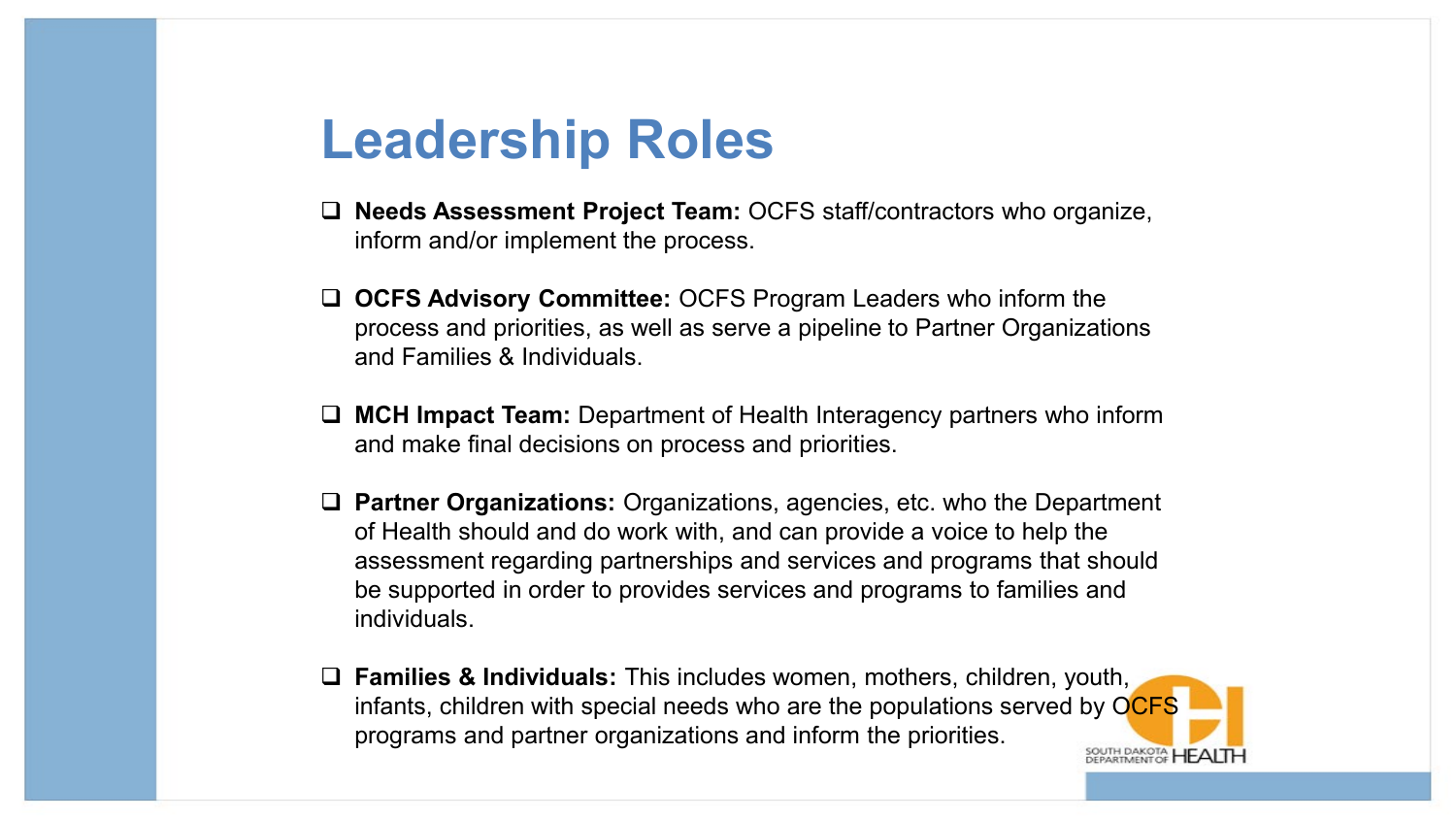### **Leadership Roles**

- **Needs Assessment Project Team:** OCFS staff/contractors who organize, inform and/or implement the process.
- **OCFS Advisory Committee:** OCFS Program Leaders who inform the process and priorities, as well as serve a pipeline to Partner Organizations and Families & Individuals.
- **MCH Impact Team:** Department of Health Interagency partners who inform and make final decisions on process and priorities.
- **Partner Organizations:** Organizations, agencies, etc. who the Department of Health should and do work with, and can provide a voice to help the assessment regarding partnerships and services and programs that should be supported in order to provides services and programs to families and individuals.
- **Families & Individuals:** This includes women, mothers, children, youth, infants, children with special needs who are the populations served by OCFS programs and partner organizations and inform the priorities.OUTH DAKOTA HEALT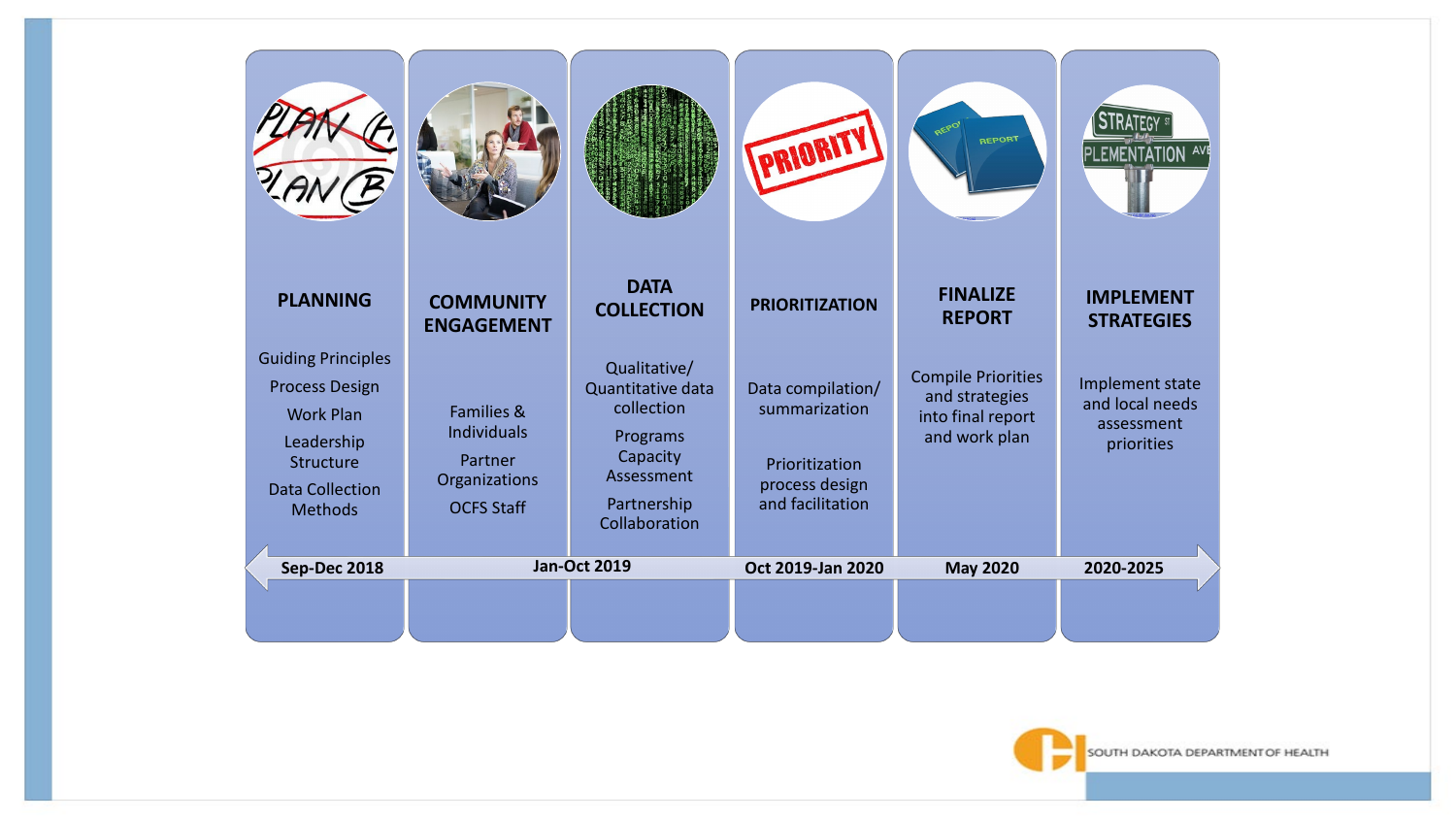

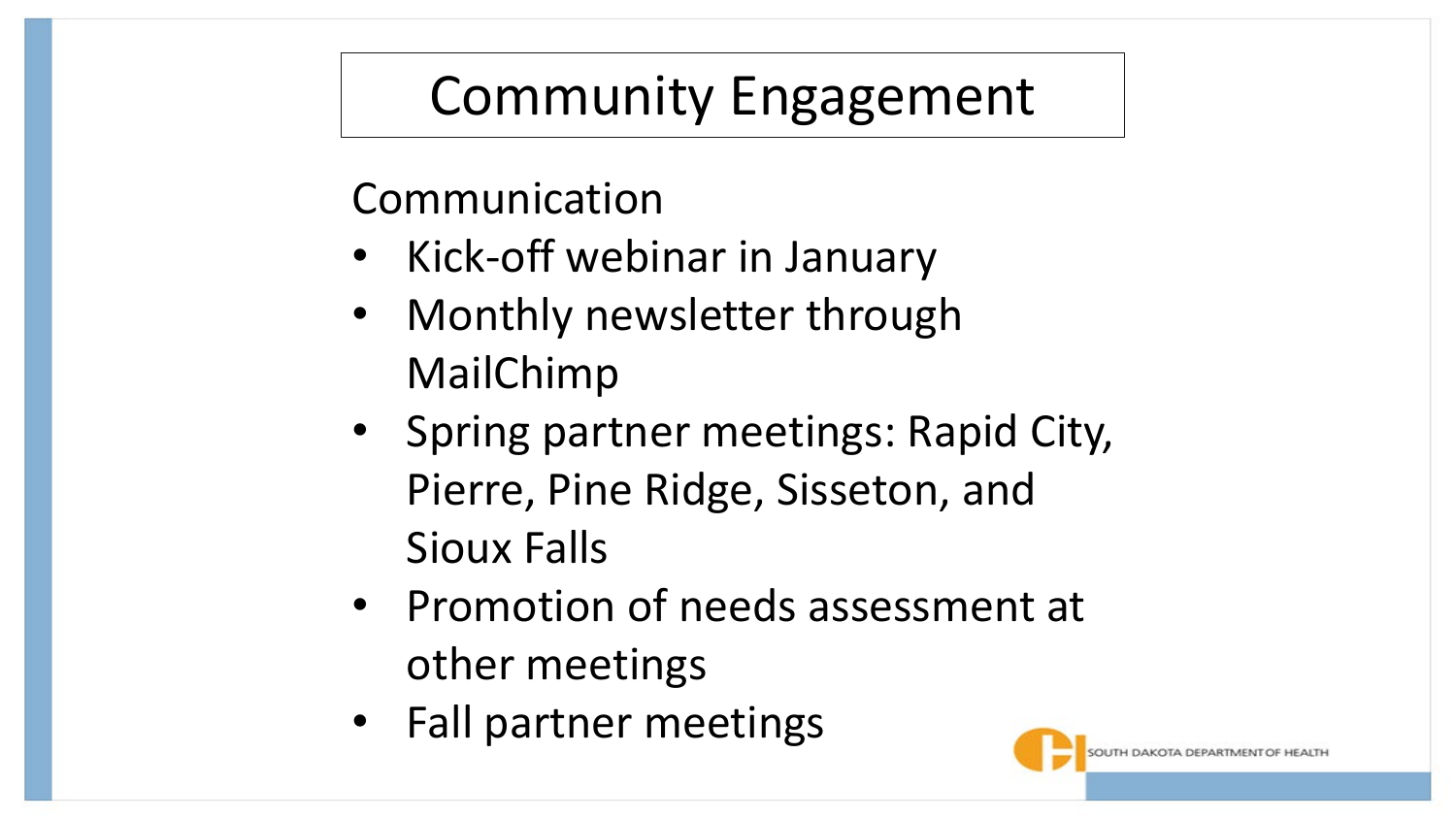## Community Engagement

Communication

- Kick-off webinar in January
- Monthly newsletter through MailChimp
- Spring partner meetings: Rapid City, Pierre, Pine Ridge, Sisseton, and Sioux Falls
- Promotion of needs assessment at other meetings
- Fall partner meetings

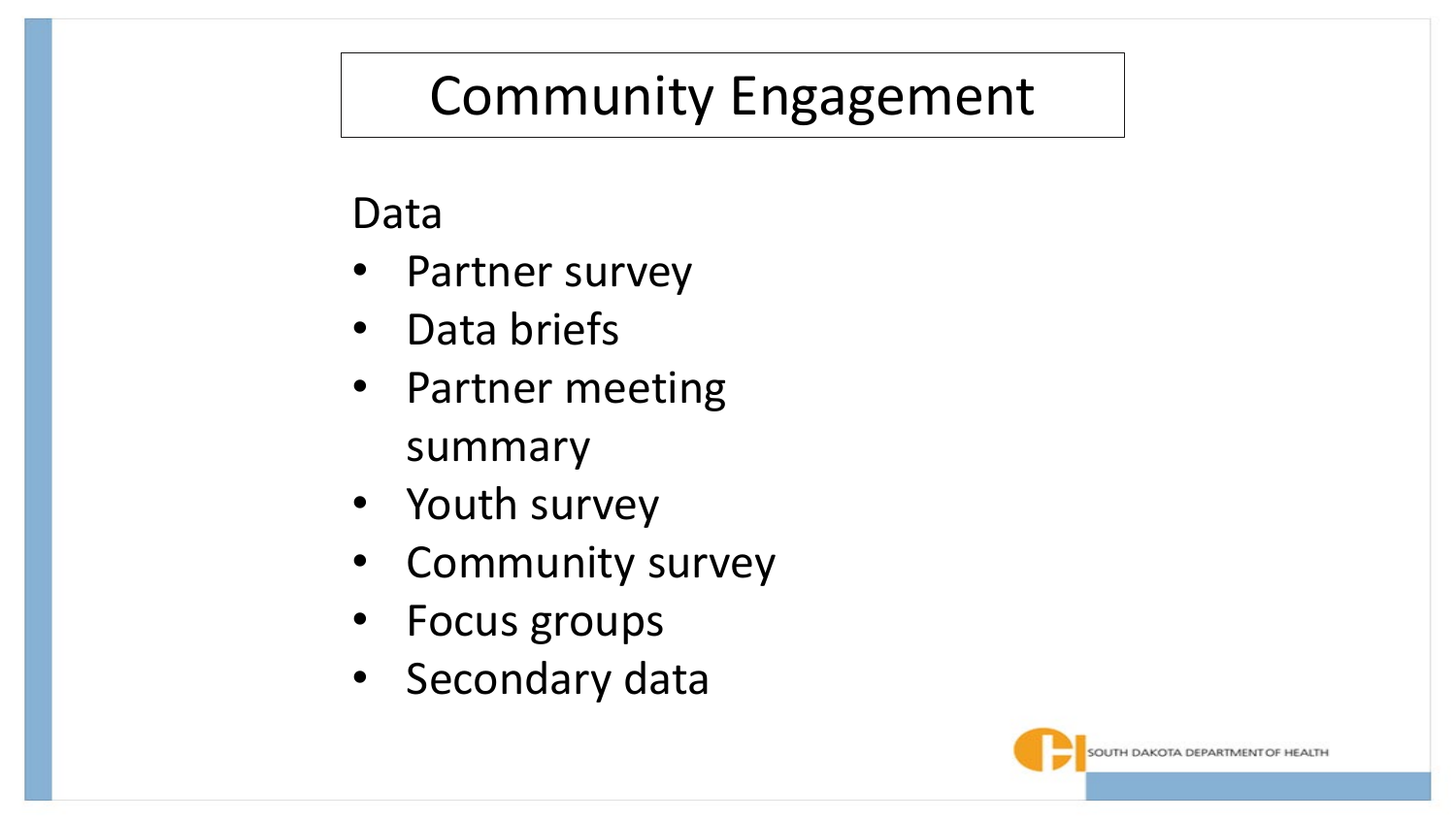## Community Engagement

### Data

- Partner survey
- Data briefs
- Partner meeting summary
- Youth survey
- Community survey
- Focus groups
- Secondary data

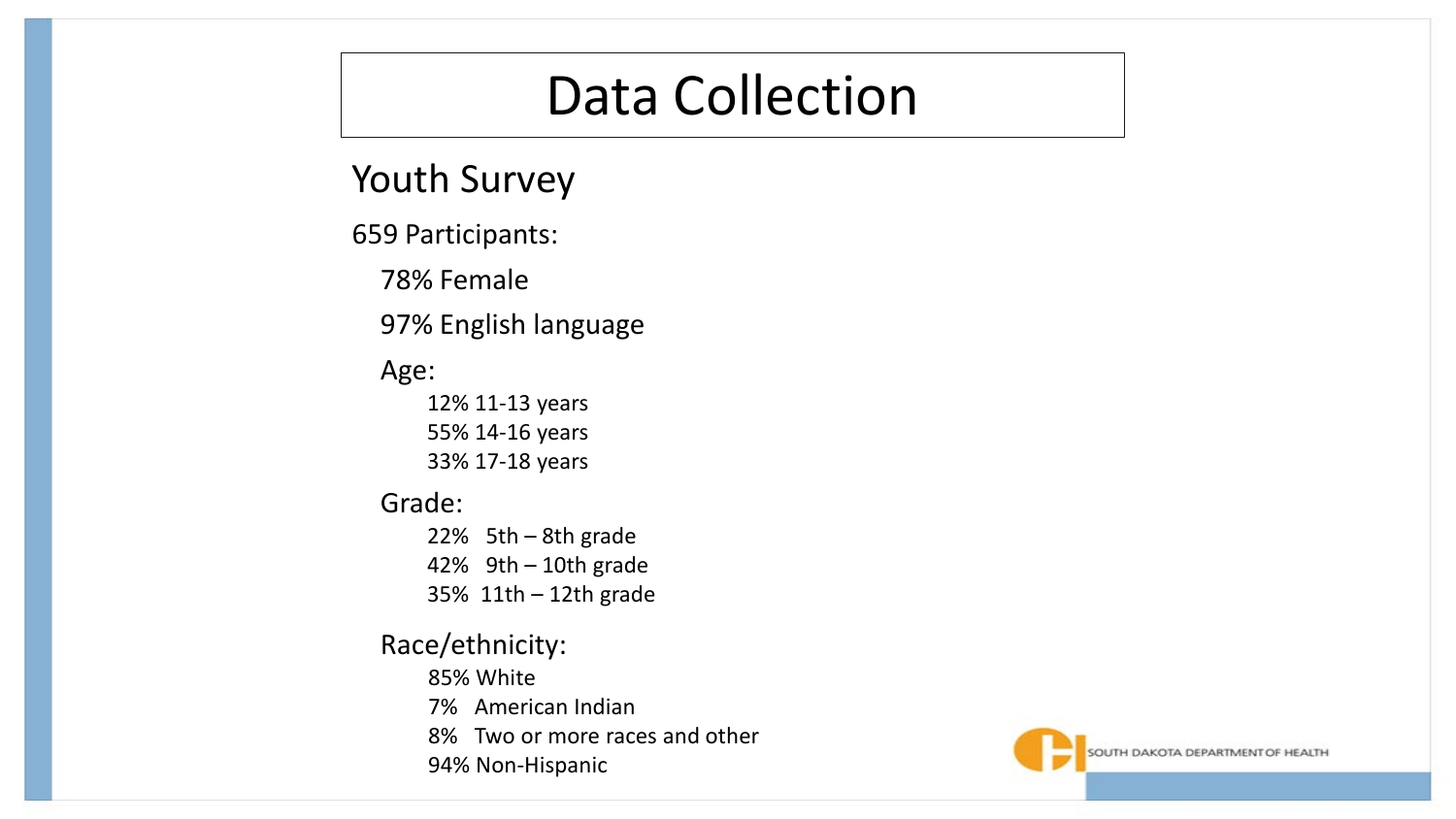### Data Collection

Youth Survey

659 Participants:

78% Female

97% English language

#### Age:

12% 11-13 years 55% 14-16 years 33% 17-18 years

#### Grade:

22% 5th – 8th grade 42% 9th – 10th grade 35% 11th – 12th grade

#### Race/ethnicity:

85% White

- 7% American Indian
- 8% Two or more races and other
- 94% Non-Hispanic

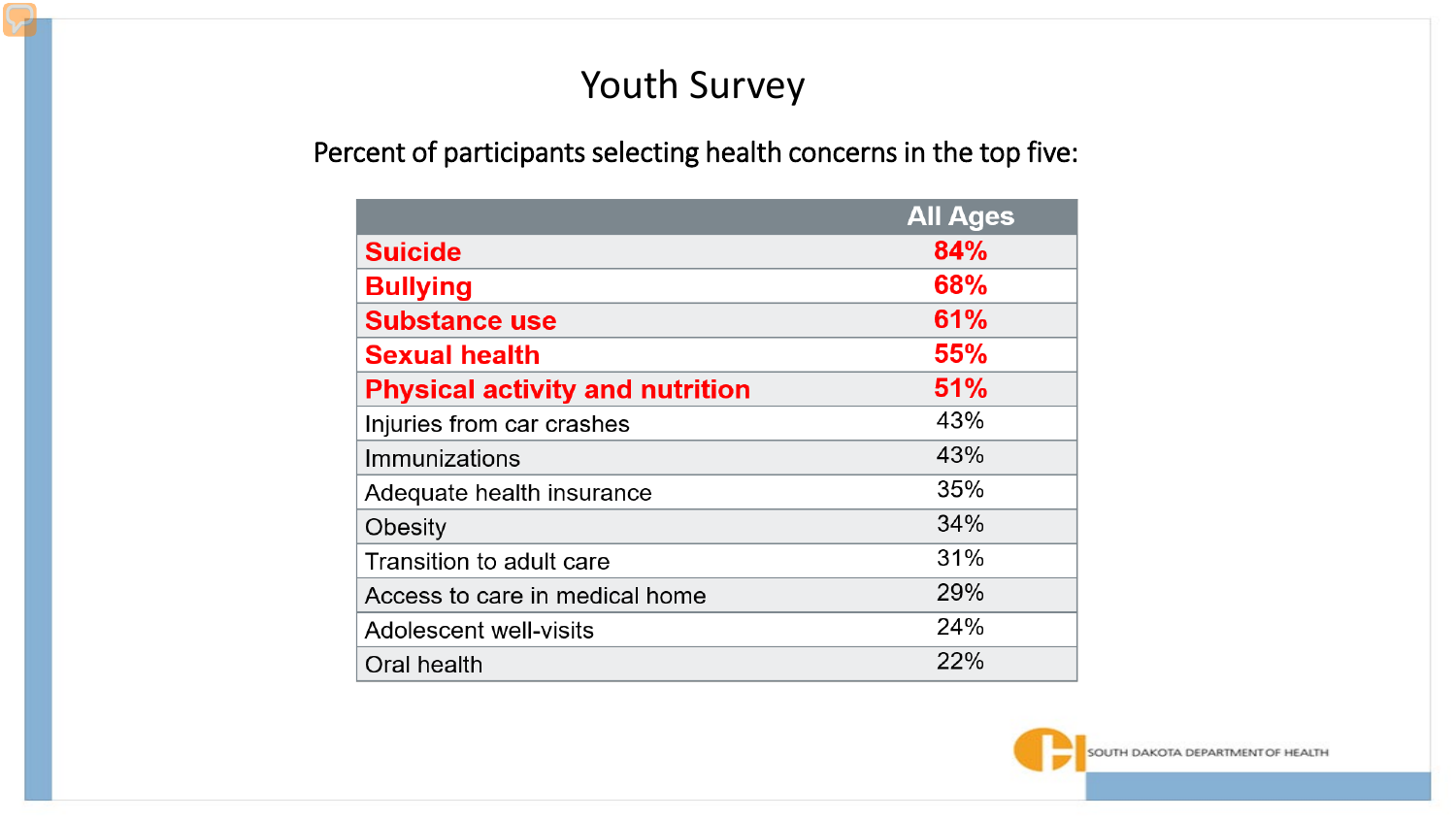### Youth Survey

#### Percent of participants selecting health concerns in the top five:

|                                        | <b>All Ages</b> |
|----------------------------------------|-----------------|
| <b>Suicide</b>                         | 84%             |
| <b>Bullying</b>                        | 68%             |
| <b>Substance use</b>                   | 61%             |
| <b>Sexual health</b>                   | 55%             |
| <b>Physical activity and nutrition</b> | 51%             |
| Injuries from car crashes              | 43%             |
| Immunizations                          | 43%             |
| Adequate health insurance              | 35%             |
| Obesity                                | 34%             |
| Transition to adult care               | 31%             |
| Access to care in medical home         | 29%             |
| Adolescent well-visits                 | 24%             |
| Oral health                            | 22%             |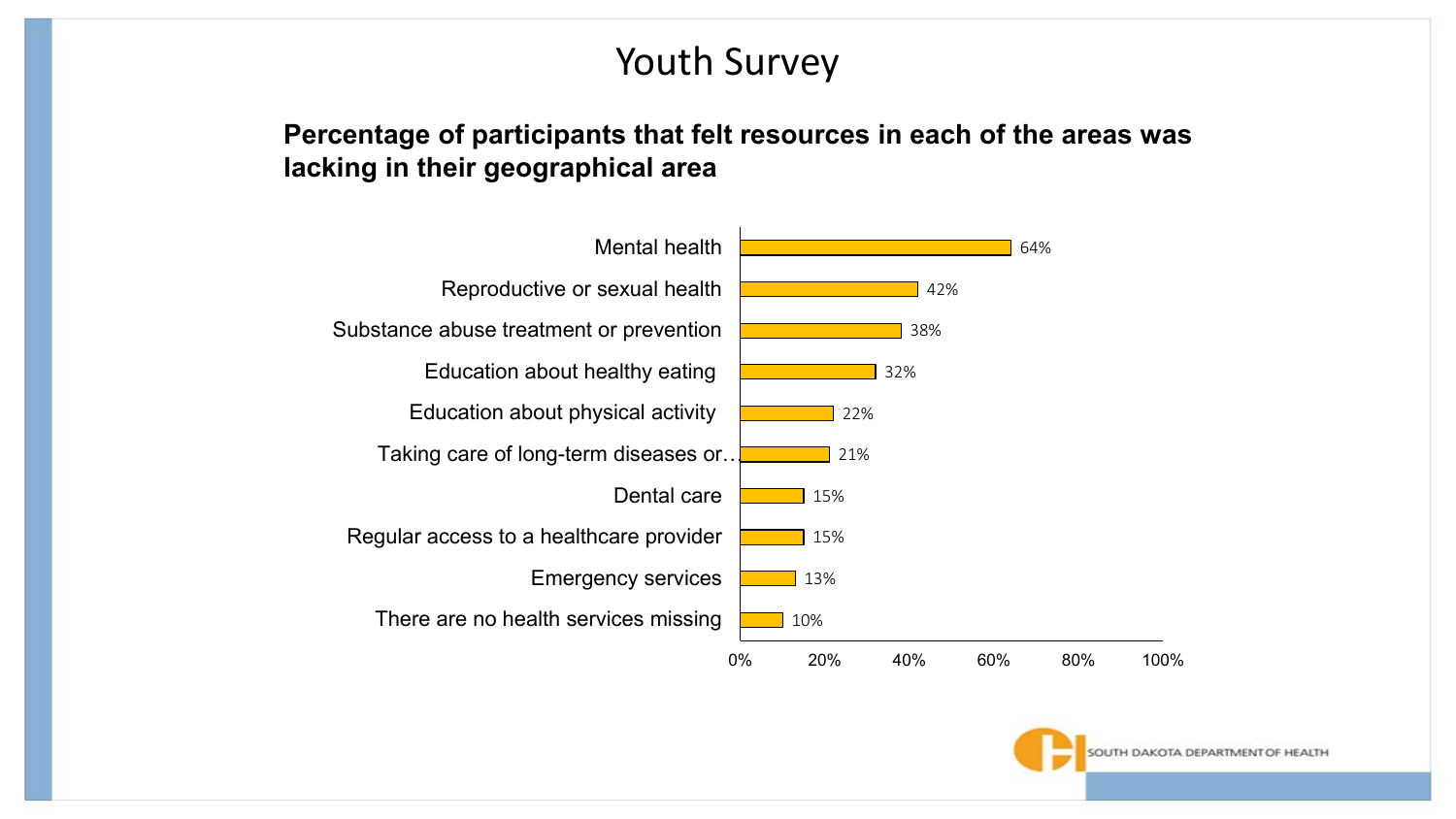### Youth Survey

#### **Percentage of participants that felt resources in each of the areas was lacking in their geographical area**



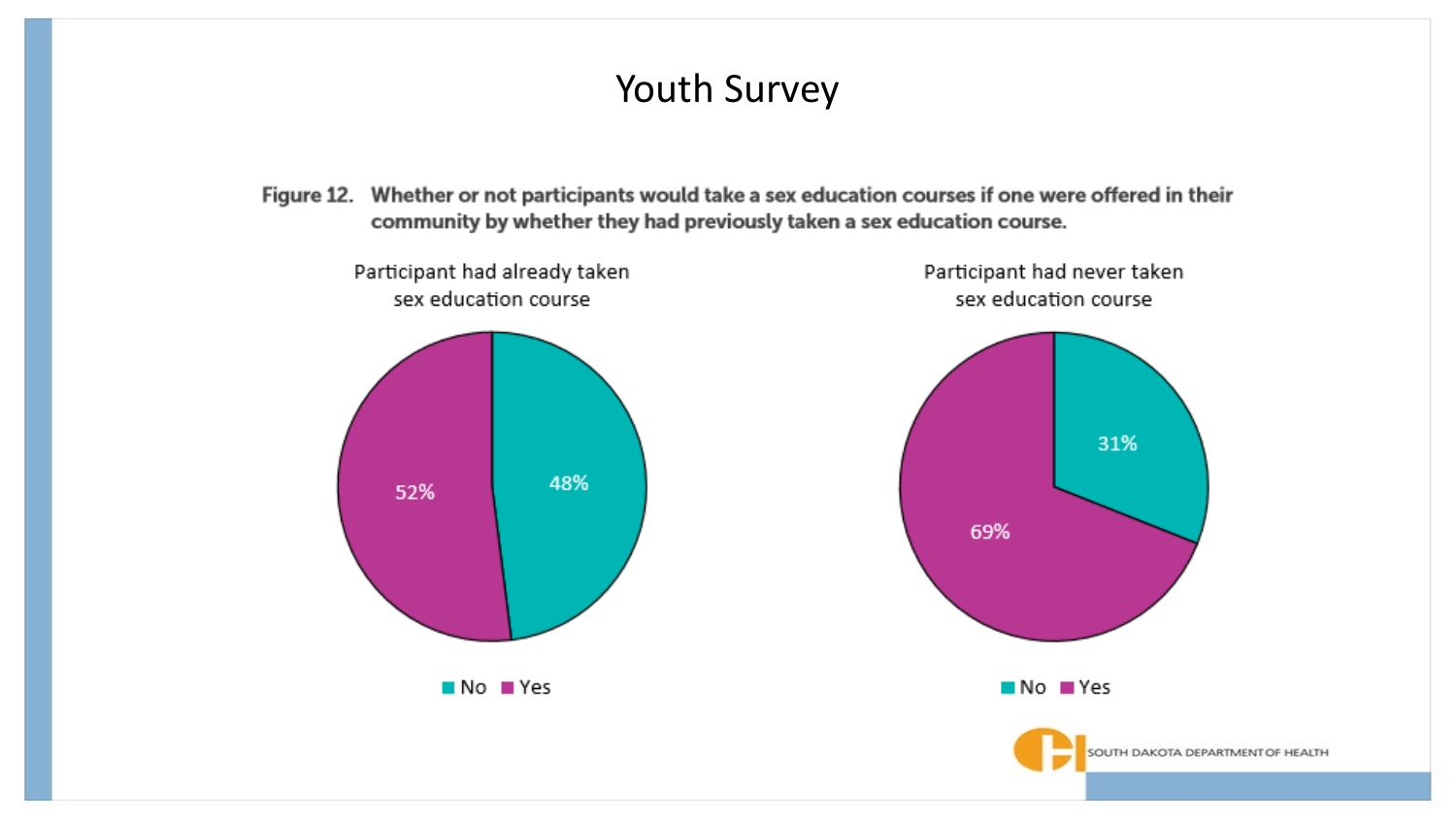#### Youth Survey

Figure 12. Whether or not participants would take a sex education courses if one were offered in their community by whether they had previously taken a sex education course.

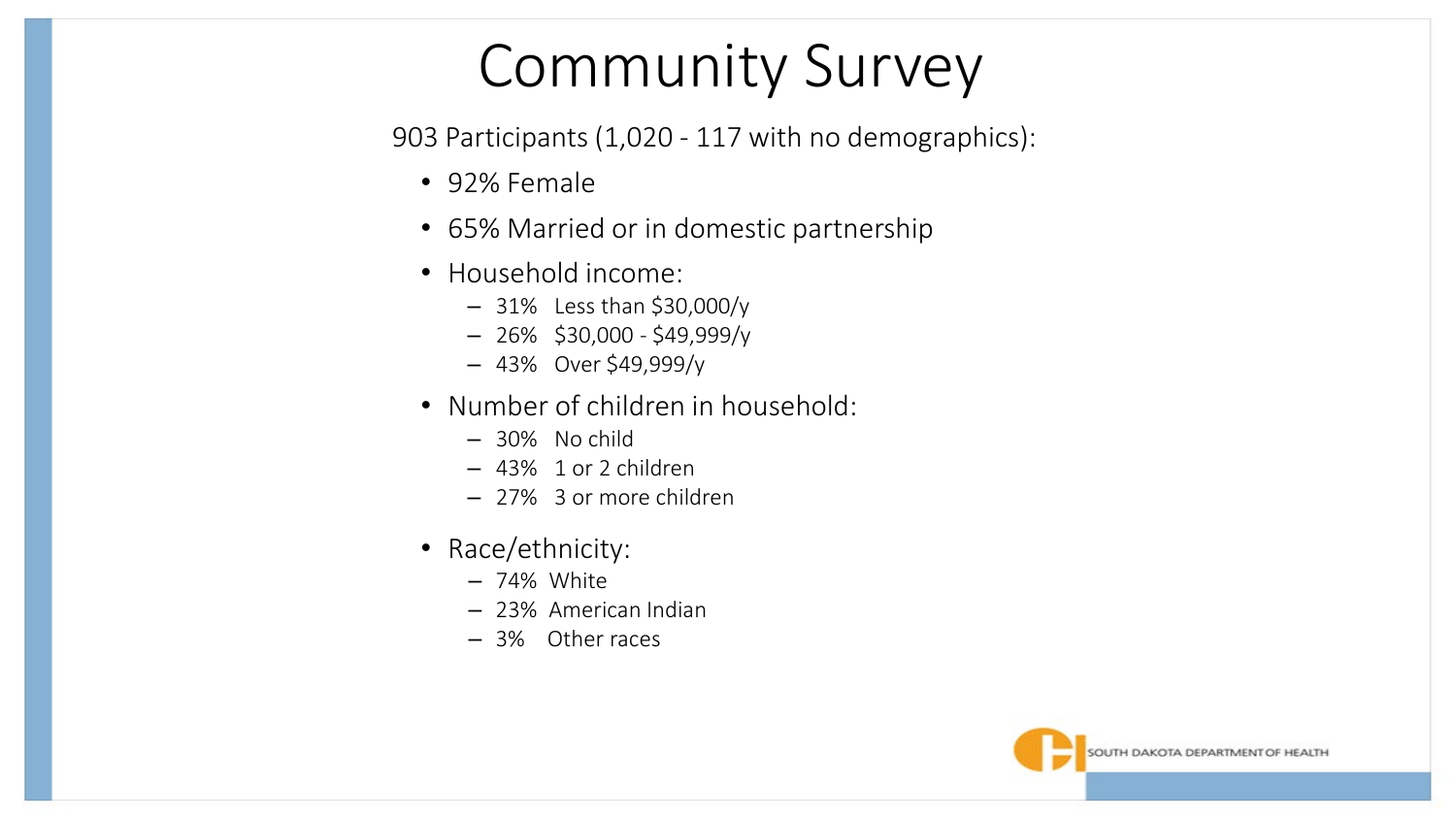## Community Survey

903 Participants (1,020 - 117 with no demographics):

- 92% Female
- 65% Married or in domestic partnership
- Household income:
	- 31% Less than \$30,000/y
	- 26% \$30,000 \$49,999/y
	- 43% Over \$49,999/y
- Number of children in household:
	- 30% No child
	- 43% 1 or 2 children
	- 27% 3 or more children
- Race/ethnicity:
	- 74% White
	- 23% American Indian
	- 3% Other races

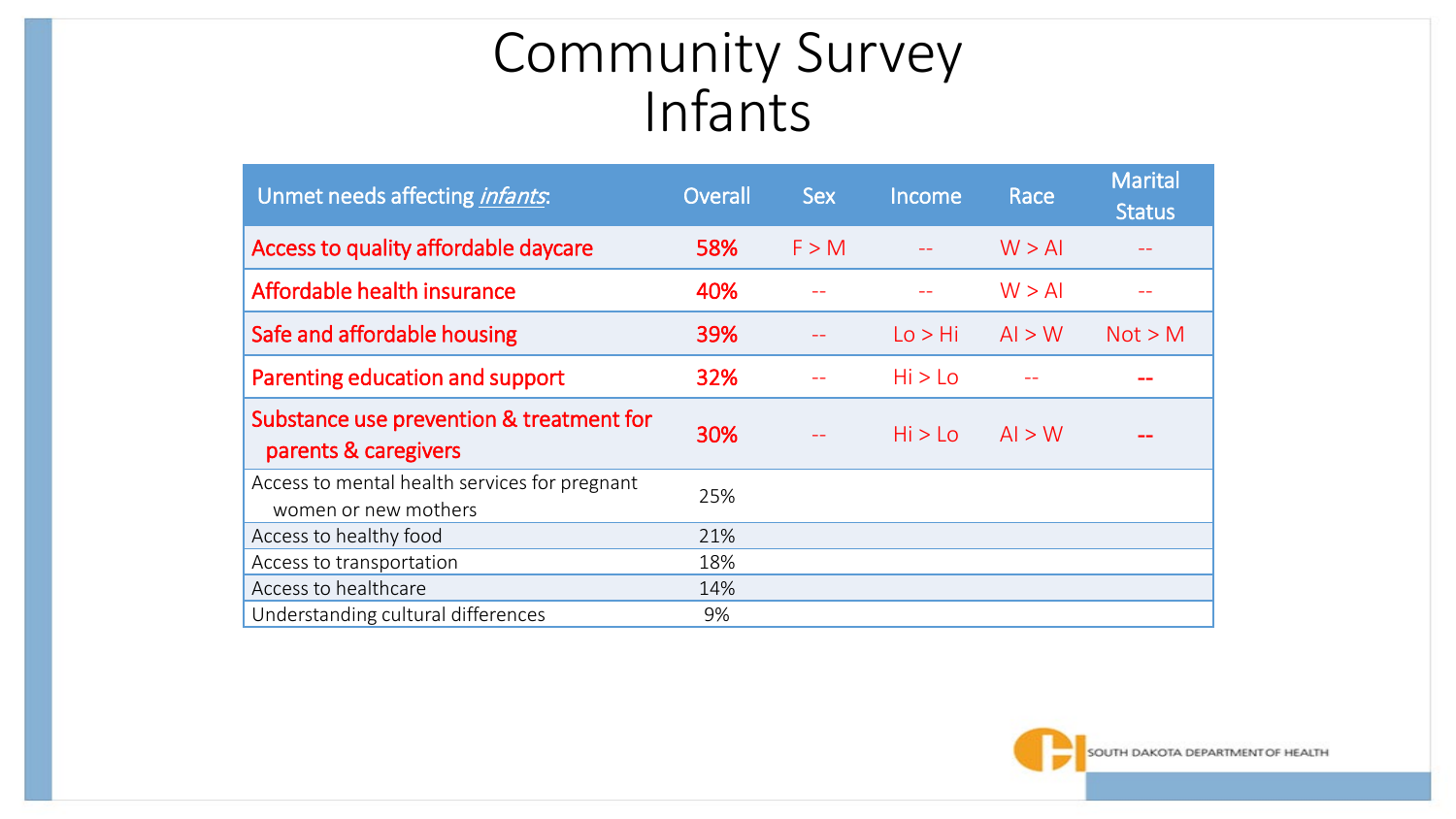## Community Survey Infants

| Unmet needs affecting <i>infants</i> :                                | Overall | <b>Sex</b> | Income  | Race   | <b>Marital</b><br><b>Status</b> |
|-----------------------------------------------------------------------|---------|------------|---------|--------|---------------------------------|
| Access to quality affordable daycare                                  | 58%     | F > M      |         | W > AI |                                 |
| Affordable health insurance                                           | 40%     |            |         | W > AI |                                 |
| Safe and affordable housing                                           | 39%     |            | Lo > Hi | Al > W | Not > M                         |
| Parenting education and support                                       | 32%     |            | Hi > Lo |        |                                 |
| Substance use prevention & treatment for<br>parents & caregivers      | 30%     |            | Hi > Lo | Al > W |                                 |
| Access to mental health services for pregnant<br>women or new mothers | 25%     |            |         |        |                                 |
| Access to healthy food                                                | 21%     |            |         |        |                                 |
| Access to transportation                                              | 18%     |            |         |        |                                 |
| Access to healthcare                                                  | 14%     |            |         |        |                                 |
|                                                                       |         |            |         |        |                                 |

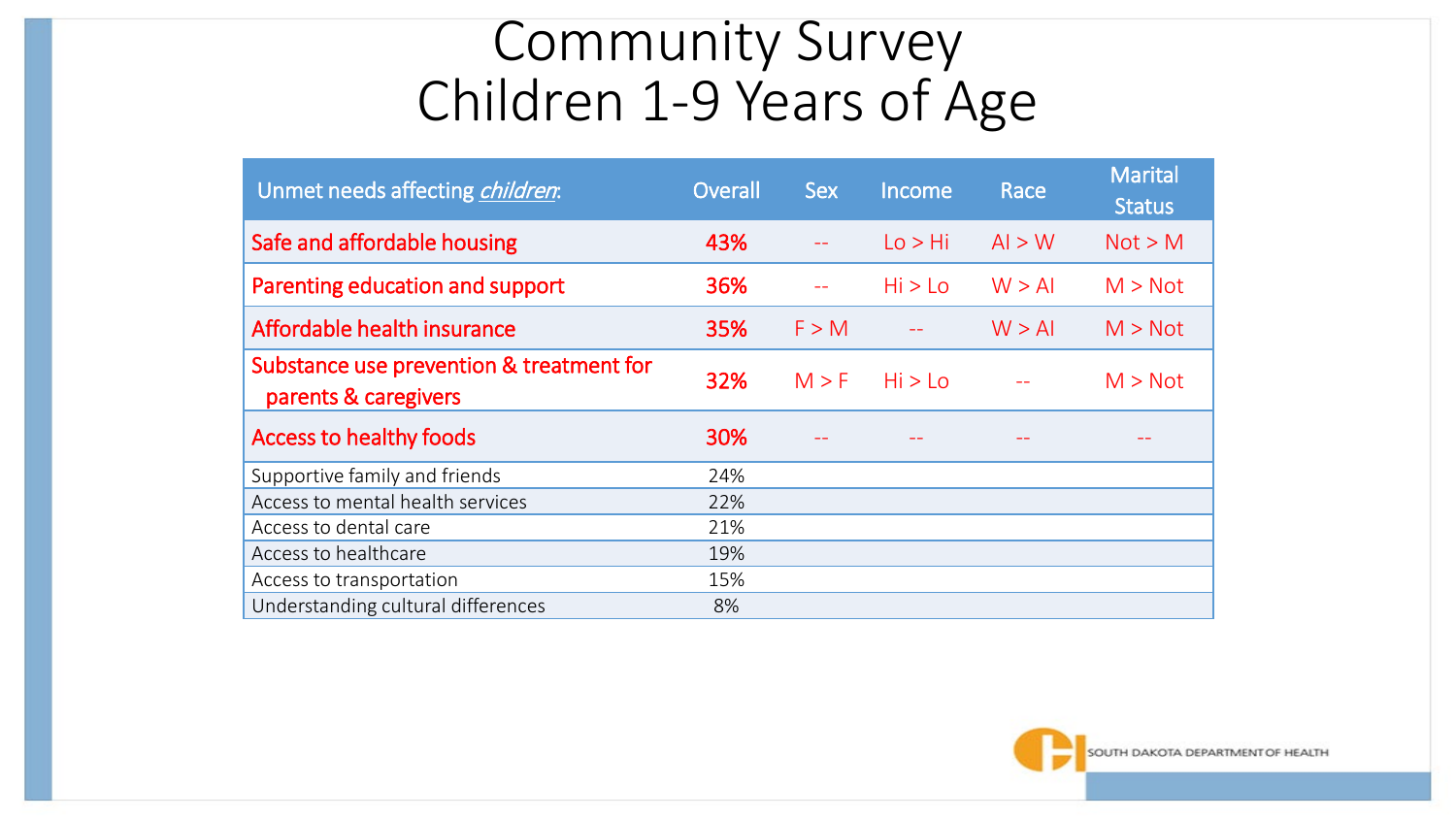## Community Survey Children 1-9 Years of Age

| Unmet needs affecting <i>children</i> :                          | Overall | <b>Sex</b> | Income  | Race   | <b>Marital</b><br><b>Status</b> |
|------------------------------------------------------------------|---------|------------|---------|--------|---------------------------------|
| Safe and affordable housing                                      | 43%     |            | Lo > Hi | Al > W | Not > M                         |
| Parenting education and support                                  | 36%     |            | Hi > Lo | W > AI | M > Not                         |
| Affordable health insurance                                      | 35%     | F > M      |         | W > AI | M > Not                         |
| Substance use prevention & treatment for<br>parents & caregivers | 32%     | M > F      | Hi > Lo |        | M > Not                         |
| <b>Access to healthy foods</b>                                   | 30%     |            |         |        |                                 |
| Supportive family and friends                                    | 24%     |            |         |        |                                 |
| Access to mental health services                                 | 22%     |            |         |        |                                 |
| Access to dental care                                            | 21%     |            |         |        |                                 |
| Access to healthcare                                             | 19%     |            |         |        |                                 |
| Access to transportation                                         | 15%     |            |         |        |                                 |
| Understanding cultural differences                               | 8%      |            |         |        |                                 |

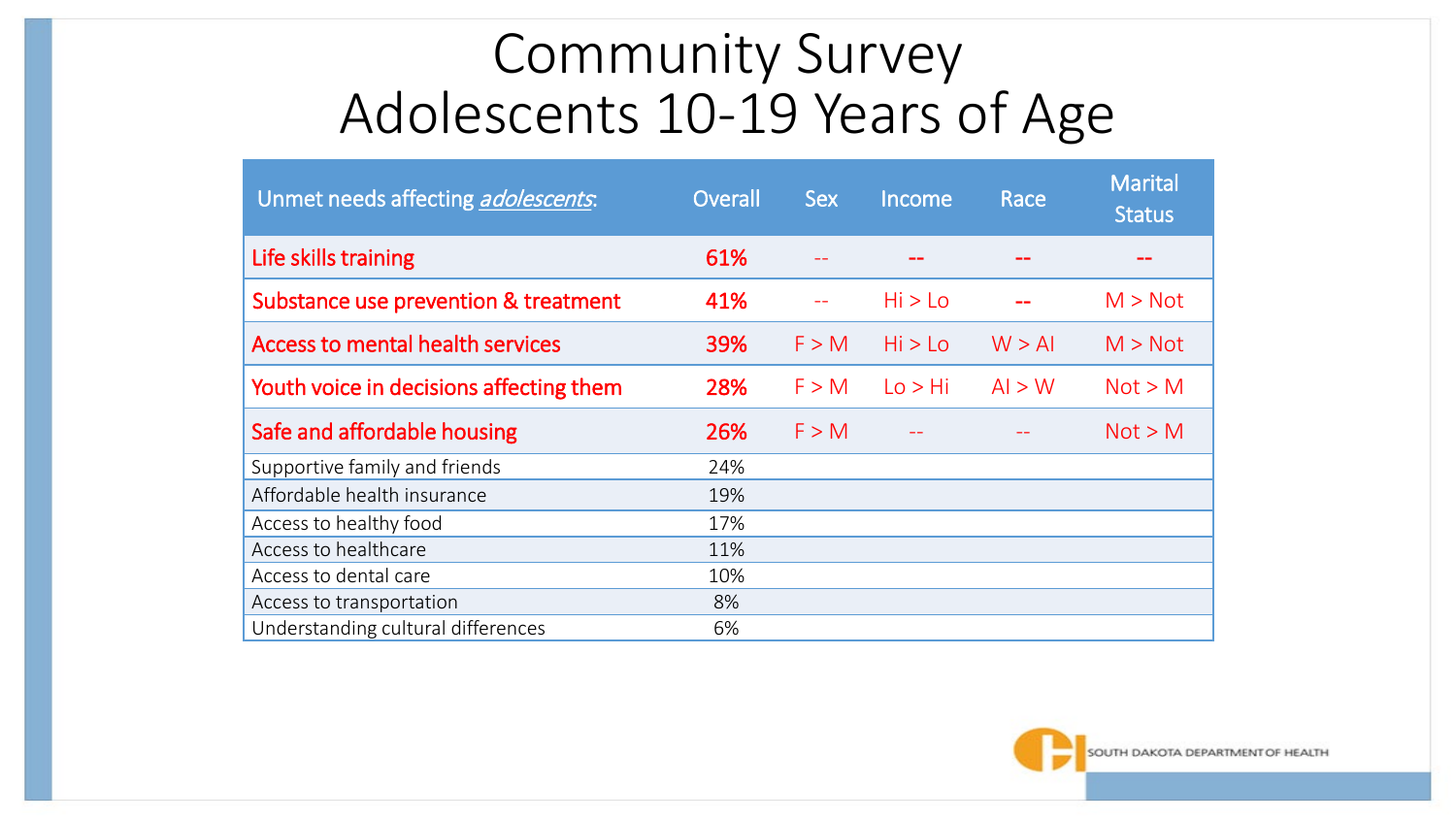### Community Survey Adolescents 10-19 Years of Age

| Unmet needs affecting adolescents.      | Overall | <b>Sex</b> | Income  | Race   | <b>Marital</b><br><b>Status</b> |
|-----------------------------------------|---------|------------|---------|--------|---------------------------------|
| Life skills training                    | 61%     |            |         |        |                                 |
| Substance use prevention & treatment    | 41%     |            | Hi > Lo |        | M > Not                         |
| <b>Access to mental health services</b> | 39%     | F > M      | Hi > Lo | W > AI | M > Not                         |
| Youth voice in decisions affecting them | 28%     | F > M      | Lo > Hi | Al > W | Not > M                         |
| Safe and affordable housing             | 26%     | F > M      |         |        | Not > M                         |
| Supportive family and friends           | 24%     |            |         |        |                                 |
| Affordable health insurance             | 19%     |            |         |        |                                 |
| Access to healthy food                  | 17%     |            |         |        |                                 |
| Access to healthcare                    | 11%     |            |         |        |                                 |
| Access to dental care                   | 10%     |            |         |        |                                 |
| Access to transportation                | 8%      |            |         |        |                                 |
| Understanding cultural differences      | 6%      |            |         |        |                                 |

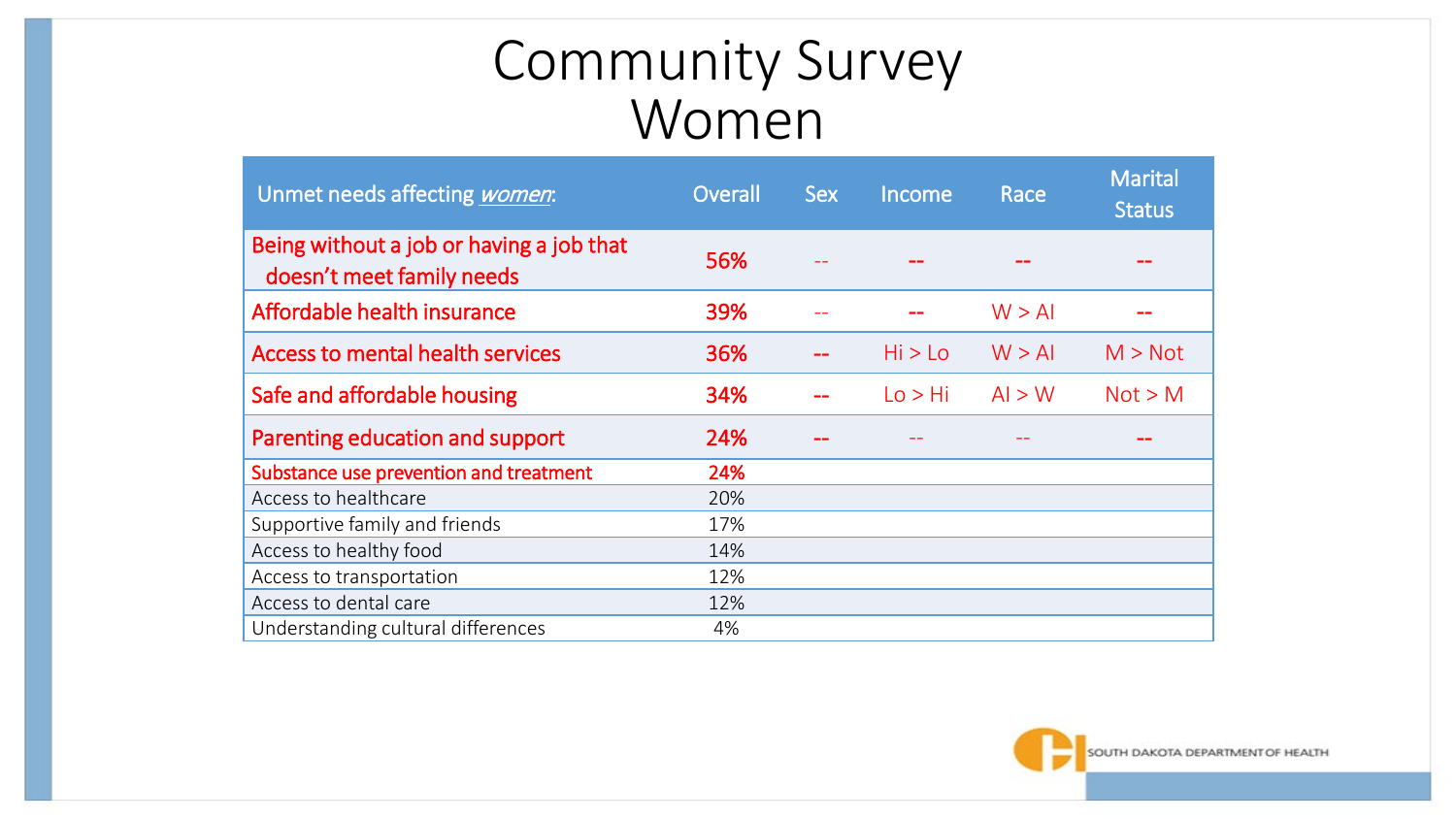## Community Survey Women

| Unmet needs affecting <i>women</i> :                                  | Overall | <b>Sex</b> | Income  | Race   | <b>Marital</b><br><b>Status</b> |
|-----------------------------------------------------------------------|---------|------------|---------|--------|---------------------------------|
| Being without a job or having a job that<br>doesn't meet family needs | 56%     |            |         |        |                                 |
| Affordable health insurance                                           | 39%     |            |         | W > AI |                                 |
| <b>Access to mental health services</b>                               | 36%     |            | Hi > Lo | W > AI | M > Not                         |
| Safe and affordable housing                                           | 34%     |            | Lo > Hi | Al > W | Not > M                         |
| Parenting education and support                                       | 24%     |            |         |        |                                 |
| Substance use prevention and treatment                                | 24%     |            |         |        |                                 |
| Access to healthcare                                                  | 20%     |            |         |        |                                 |
| Supportive family and friends                                         | 17%     |            |         |        |                                 |
| Access to healthy food                                                | 14%     |            |         |        |                                 |
| Access to transportation                                              | 12%     |            |         |        |                                 |
| Access to dental care                                                 | 12%     |            |         |        |                                 |
| Understanding cultural differences                                    | 4%      |            |         |        |                                 |

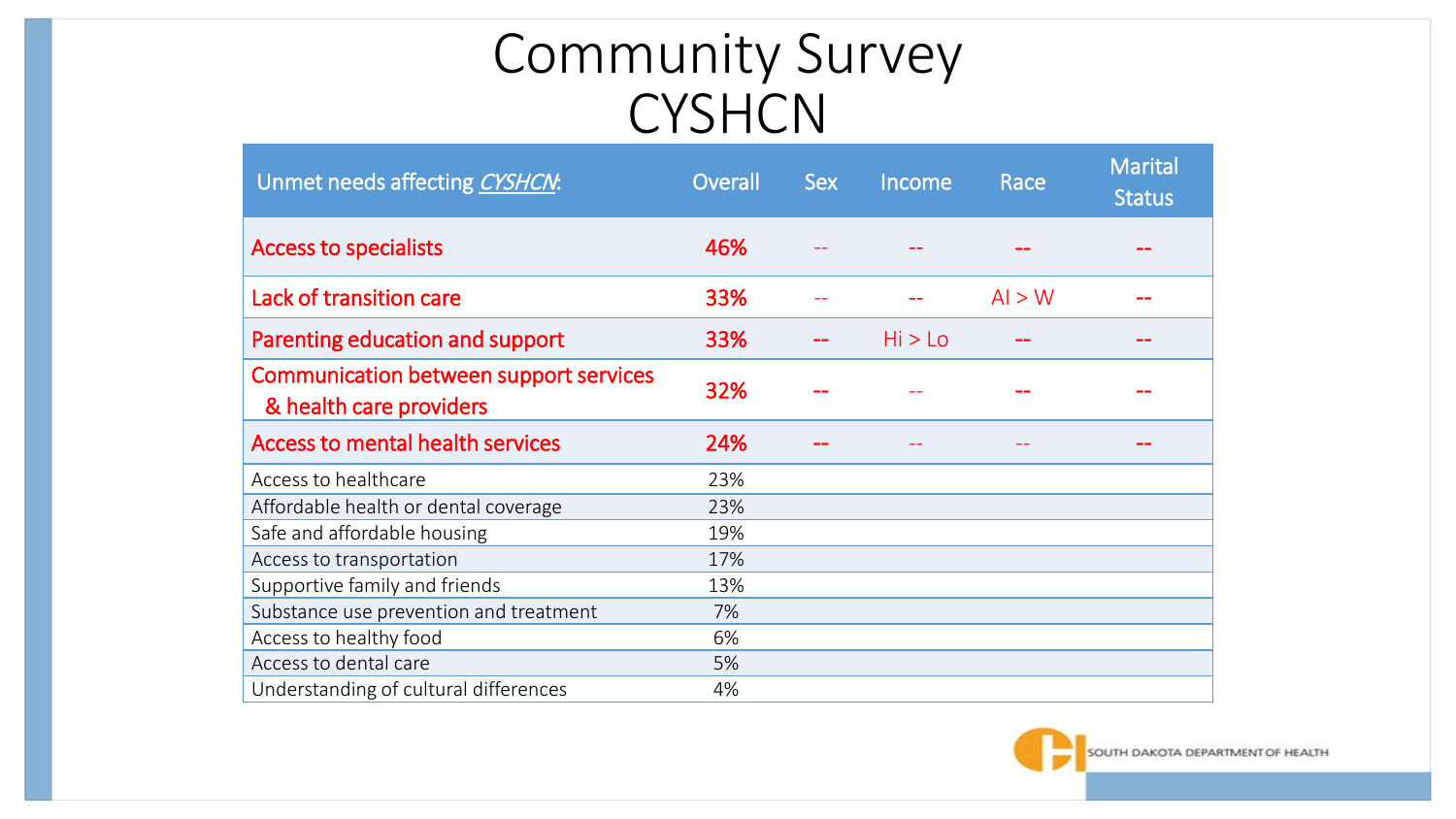## Community Survey **CYSHCN**

| Unmet needs affecting CYSHCN:                                            | Overall | <b>Sex</b> | Income  | Race   | <b>Marital</b><br><b>Status</b> |
|--------------------------------------------------------------------------|---------|------------|---------|--------|---------------------------------|
| <b>Access to specialists</b>                                             | 46%     |            |         |        |                                 |
| Lack of transition care                                                  | 33%     |            |         | Al > W |                                 |
| Parenting education and support                                          | 33%     |            | Hi > Lo |        |                                 |
| <b>Communication between support services</b><br>& health care providers | 32%     |            |         |        |                                 |
| <b>Access to mental health services</b>                                  | 24%     |            |         |        |                                 |
| Access to healthcare                                                     | 23%     |            |         |        |                                 |
| Affordable health or dental coverage                                     | 23%     |            |         |        |                                 |
| Safe and affordable housing                                              | 19%     |            |         |        |                                 |
| Access to transportation                                                 | 17%     |            |         |        |                                 |
| Supportive family and friends                                            | 13%     |            |         |        |                                 |
| Substance use prevention and treatment                                   | 7%      |            |         |        |                                 |
| Access to healthy food                                                   | 6%      |            |         |        |                                 |
| Access to dental care                                                    | 5%      |            |         |        |                                 |
| Understanding of cultural differences                                    | 4%      |            |         |        |                                 |

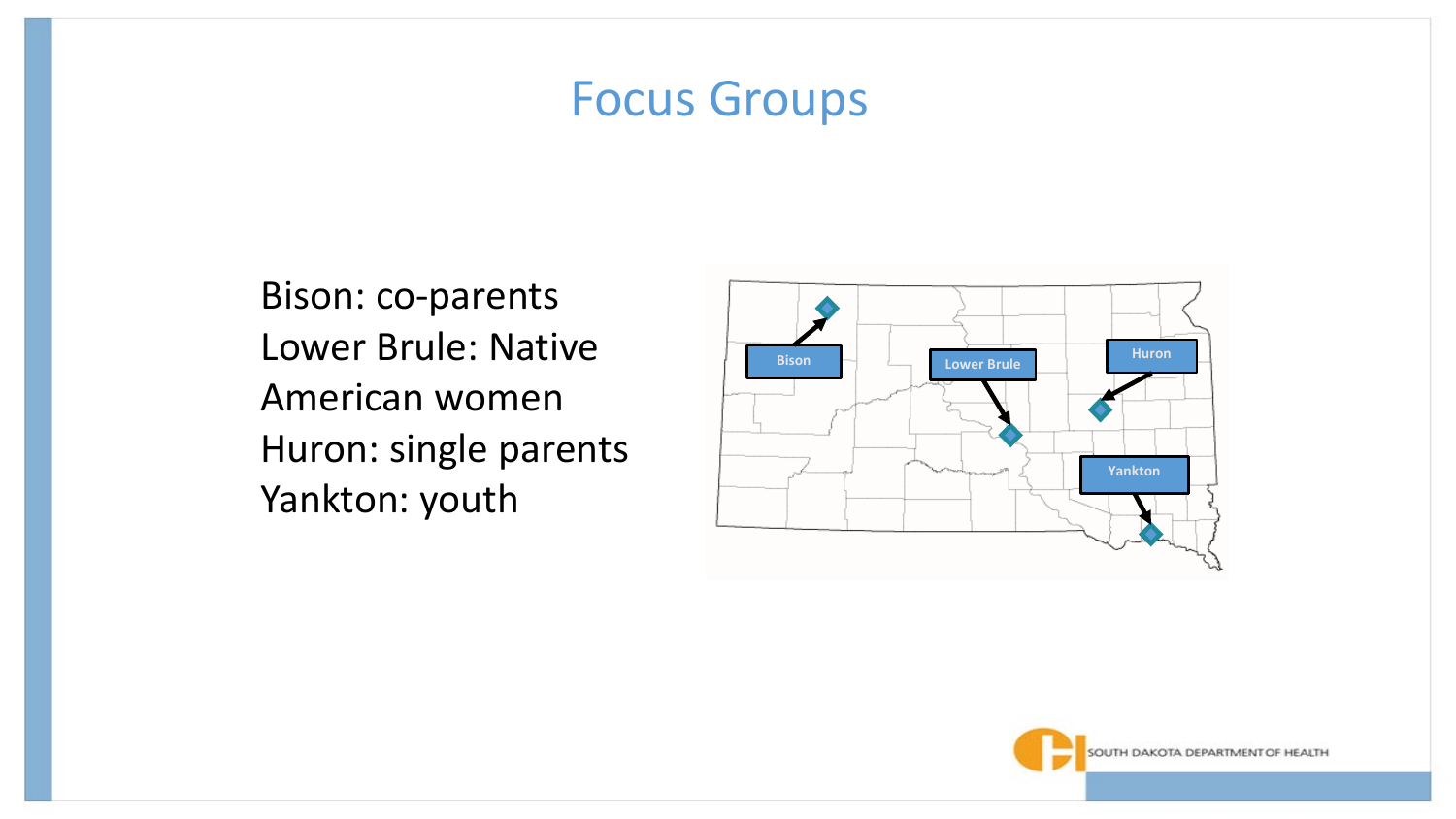### Focus Groups

Bison: co-parents Lower Brule: Native American women Huron: single parents Yankton: youth



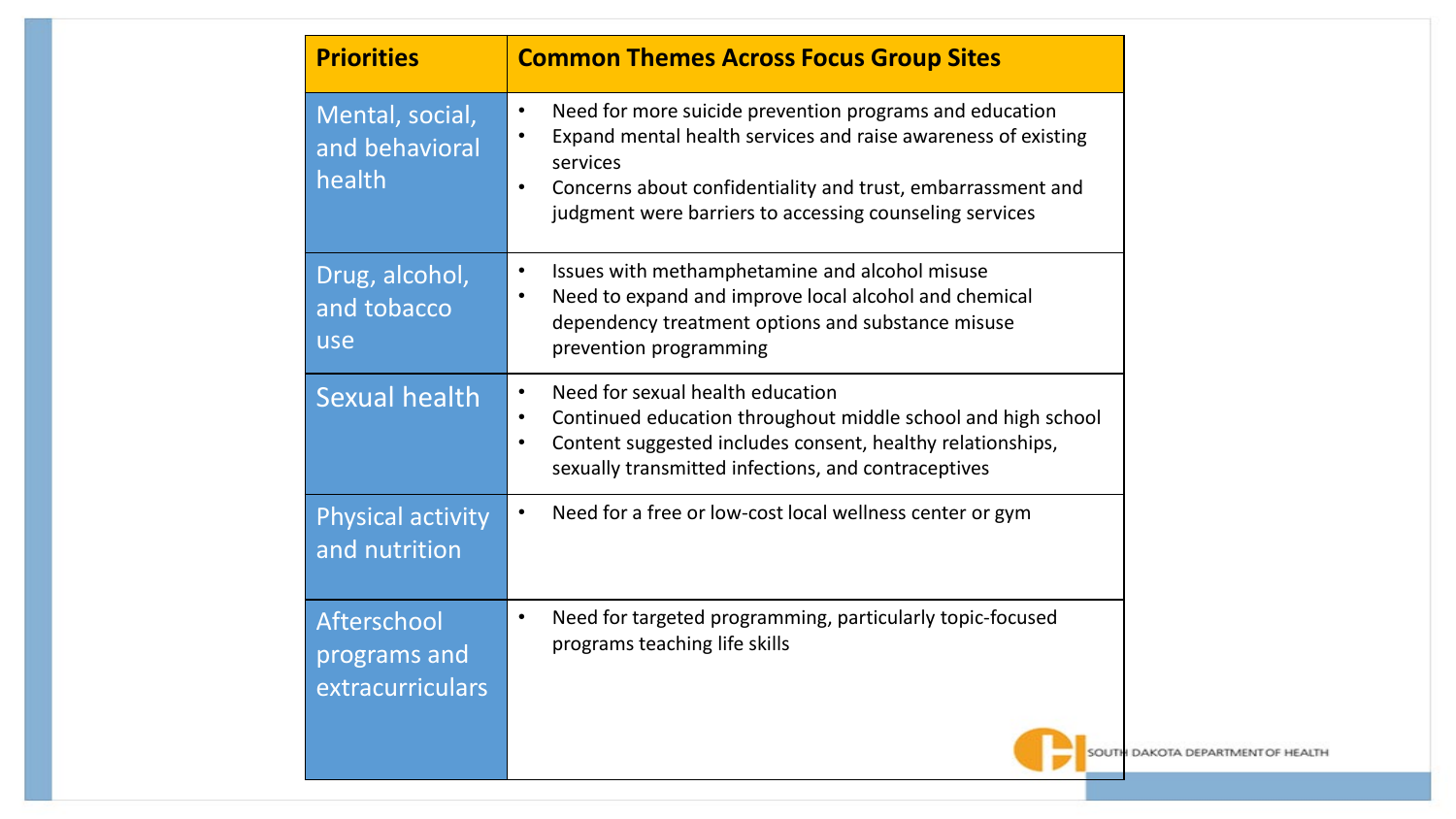| <b>Priorities</b>                                      | <b>Common Themes Across Focus Group Sites</b>                                                                                                                                                                                                                               |
|--------------------------------------------------------|-----------------------------------------------------------------------------------------------------------------------------------------------------------------------------------------------------------------------------------------------------------------------------|
| Mental, social,<br>and behavioral<br>health            | Need for more suicide prevention programs and education<br>$\bullet$<br>Expand mental health services and raise awareness of existing<br>services<br>Concerns about confidentiality and trust, embarrassment and<br>judgment were barriers to accessing counseling services |
| Drug, alcohol,<br>and tobacco<br>use                   | Issues with methamphetamine and alcohol misuse<br>$\bullet$<br>Need to expand and improve local alcohol and chemical<br>dependency treatment options and substance misuse<br>prevention programming                                                                         |
| <b>Sexual health</b>                                   | Need for sexual health education<br>$\bullet$<br>Continued education throughout middle school and high school<br>$\bullet$<br>Content suggested includes consent, healthy relationships,<br>$\bullet$<br>sexually transmitted infections, and contraceptives                |
| <b>Physical activity</b><br>and nutrition              | Need for a free or low-cost local wellness center or gym<br>$\bullet$                                                                                                                                                                                                       |
| <b>Afterschool</b><br>programs and<br>extracurriculars | Need for targeted programming, particularly topic-focused<br>$\bullet$<br>programs teaching life skills<br><b>SOUTH DA</b>                                                                                                                                                  |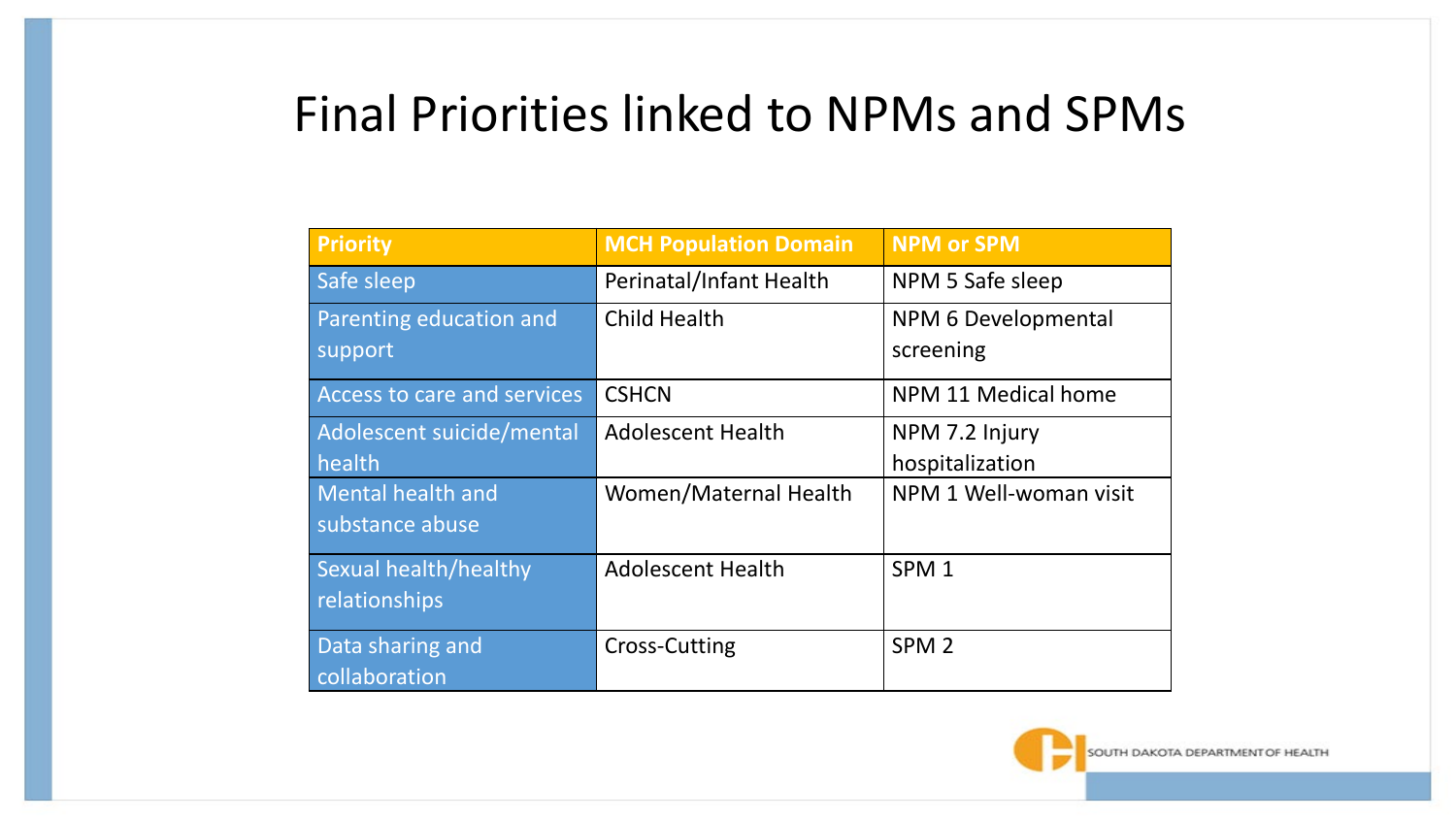### Final Priorities linked to NPMs and SPMs

| <b>Priority</b>             | <b>MCH Population Domain</b> | <b>NPM or SPM</b>      |
|-----------------------------|------------------------------|------------------------|
| Safe sleep                  | Perinatal/Infant Health      | NPM 5 Safe sleep       |
| Parenting education and     | <b>Child Health</b>          | NPM 6 Developmental    |
| support                     |                              | screening              |
| Access to care and services | <b>CSHCN</b>                 | NPM 11 Medical home    |
| Adolescent suicide/mental   | <b>Adolescent Health</b>     | NPM 7.2 Injury         |
| health                      |                              | hospitalization        |
| <b>Mental health and</b>    | Women/Maternal Health        | NPM 1 Well-woman visit |
| substance abuse             |                              |                        |
| Sexual health/healthy       | <b>Adolescent Health</b>     | SPM <sub>1</sub>       |
| relationships               |                              |                        |
| Data sharing and            | Cross-Cutting                | SPM <sub>2</sub>       |
| collaboration               |                              |                        |

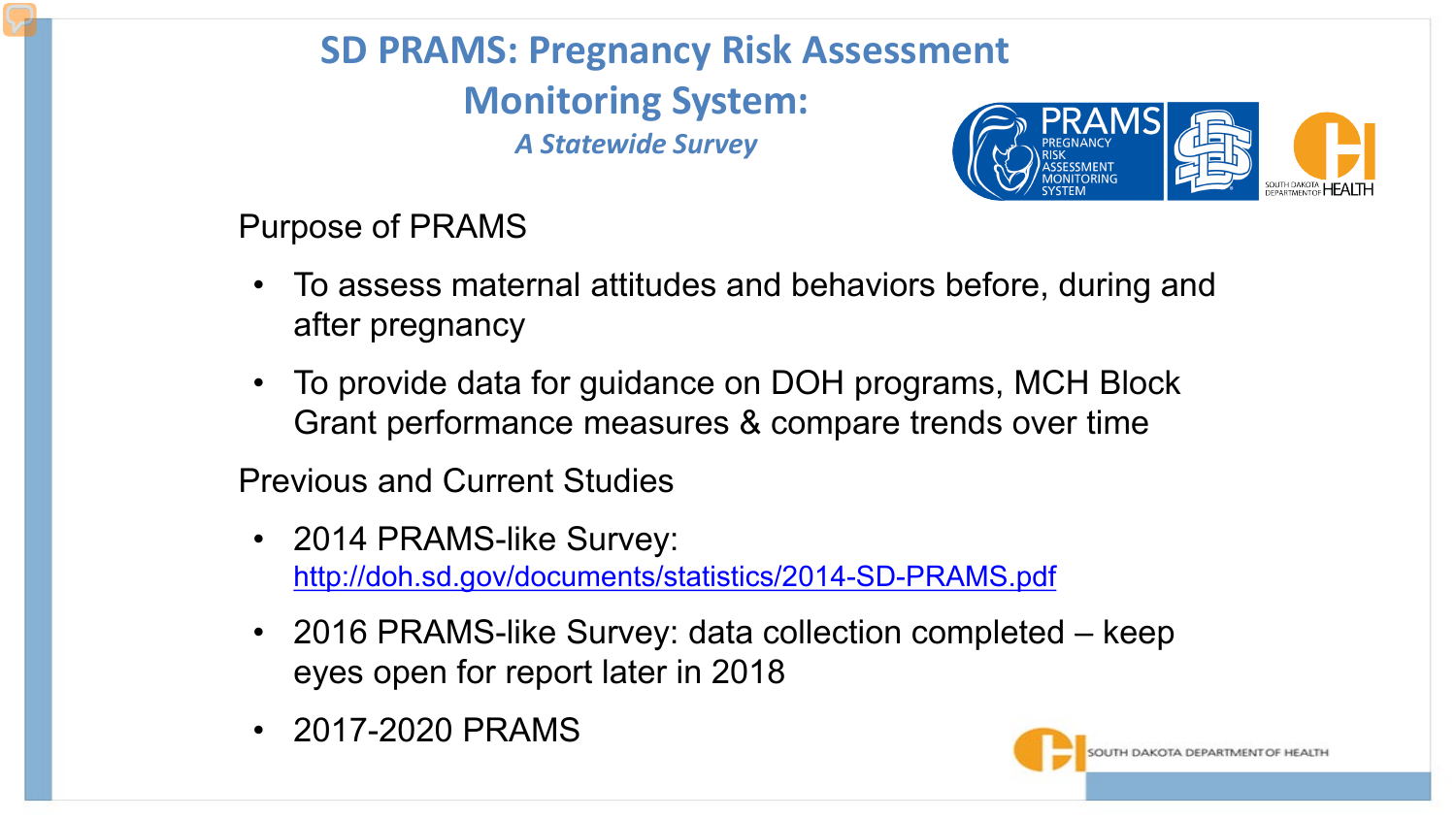#### **SD PRAMS: Pregnancy Risk Assessment Monitoring System:** *A Statewide Survey*



Purpose of PRAMS

- To assess maternal attitudes and behaviors before, during and after pregnancy
- To provide data for guidance on DOH programs, MCH Block Grant performance measures & compare trends over time

Previous and Current Studies

- 2014 PRAMS-like Survey: <http://doh.sd.gov/documents/statistics/2014-SD-PRAMS.pdf>
- 2016 PRAMS-like Survey: data collection completed keep eyes open for report later in 2018
- 2017-2020 PRAMS